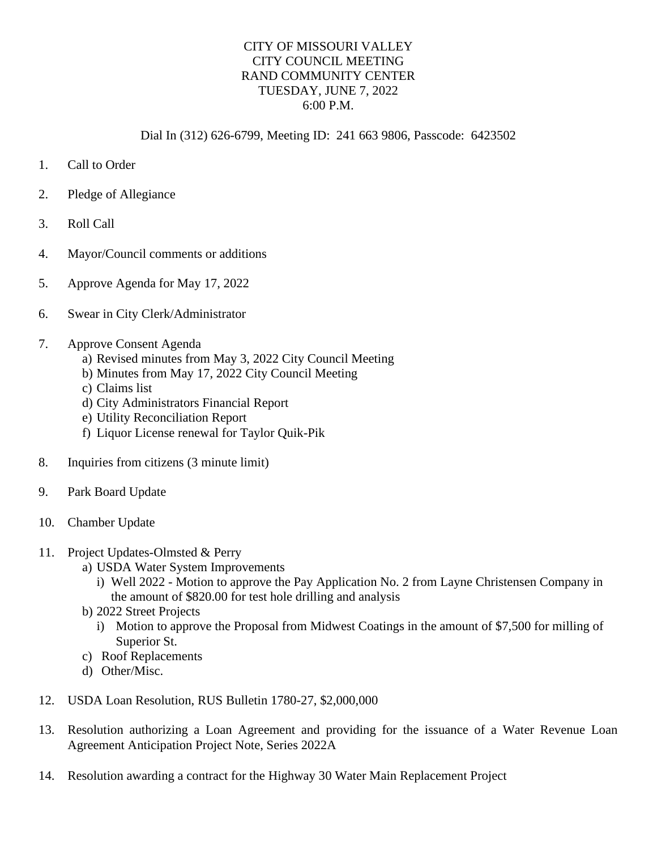## CITY OF MISSOURI VALLEY CITY COUNCIL MEETING RAND COMMUNITY CENTER TUESDAY, JUNE 7, 2022 6:00 P.M.

## Dial In (312) 626-6799, Meeting ID: 241 663 9806, Passcode: 6423502

- 1. Call to Order
- 2. Pledge of Allegiance
- 3. Roll Call
- 4. Mayor/Council comments or additions
- 5. Approve Agenda for May 17, 2022
- 6. Swear in City Clerk/Administrator
- 7. Approve Consent Agenda
	- a) Revised minutes from May 3, 2022 City Council Meeting
	- b) Minutes from May 17, 2022 City Council Meeting
	- c) Claims list
	- d) City Administrators Financial Report
	- e) Utility Reconciliation Report
	- f) Liquor License renewal for Taylor Quik-Pik
- 8. Inquiries from citizens (3 minute limit)
- 9. Park Board Update
- 10. Chamber Update
- 11. Project Updates-Olmsted & Perry
	- a) USDA Water System Improvements
		- i) Well 2022 Motion to approve the Pay Application No. 2 from Layne Christensen Company in the amount of \$820.00 for test hole drilling and analysis
	- b) 2022 Street Projects
		- i) Motion to approve the Proposal from Midwest Coatings in the amount of \$7,500 for milling of Superior St.
	- c) Roof Replacements
	- d) Other/Misc.
- 12. USDA Loan Resolution, RUS Bulletin 1780-27, \$2,000,000
- 13. Resolution authorizing a Loan Agreement and providing for the issuance of a Water Revenue Loan Agreement Anticipation Project Note, Series 2022A
- 14. Resolution awarding a contract for the Highway 30 Water Main Replacement Project